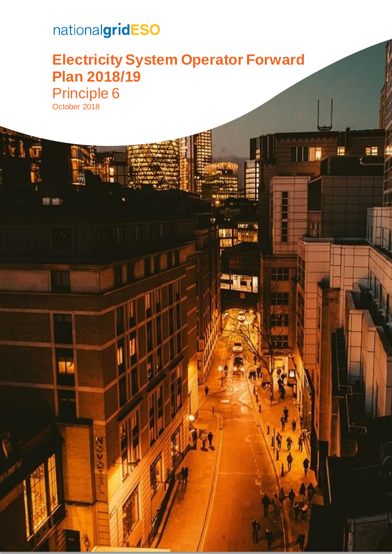# nationalgridESO

體體

### **Electricity System Operator Forward Plan 2018/19** Principle 6 October 2018

II

anni<br>Stair

 $\mathcal{L}$  and  $\mathcal{L}$  are  $\mathcal{L}$  system operator  $\mathcal{L}$  . The plan 2018/19 operator  $\mathcal{L}$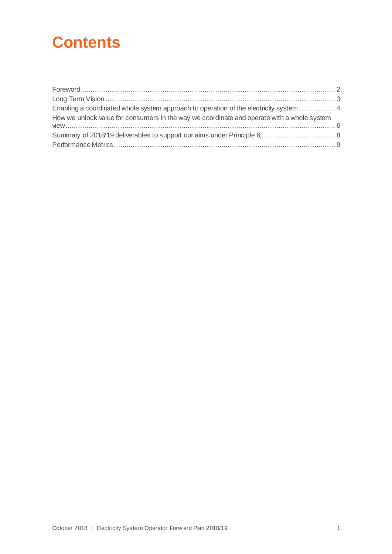### **Contents**

| $\textbf{For} \textit{word}.\textit{1}\textit{1}\textit{1}\textit{2}\textit{2} \textit{3} \textit{4} \textit{5} \textit{5} \textit{6} \textit{6} \textit{7} \textit{7} \textit{6} \textit{8} \textit{7} \textit{8} \textit{9} \textit{1} \textit{1} \textit{1} \textit{1} \textit{1} \textit{1} \textit{1} \textit{1} \textit{1} \textit{1} \textit{1} \textit{1} \textit{1} \textit{1} \textit{1} \textit{1} \textit{1} \text$ |  |
|---------------------------------------------------------------------------------------------------------------------------------------------------------------------------------------------------------------------------------------------------------------------------------------------------------------------------------------------------------------------------------------------------------------------------------|--|
|                                                                                                                                                                                                                                                                                                                                                                                                                                 |  |
| Enabling a coordinated whole system approach to operation of the electricity system  4                                                                                                                                                                                                                                                                                                                                          |  |
| How we unlock value for consumers in the way we coordinate and operate with a whole system                                                                                                                                                                                                                                                                                                                                      |  |
|                                                                                                                                                                                                                                                                                                                                                                                                                                 |  |
|                                                                                                                                                                                                                                                                                                                                                                                                                                 |  |
|                                                                                                                                                                                                                                                                                                                                                                                                                                 |  |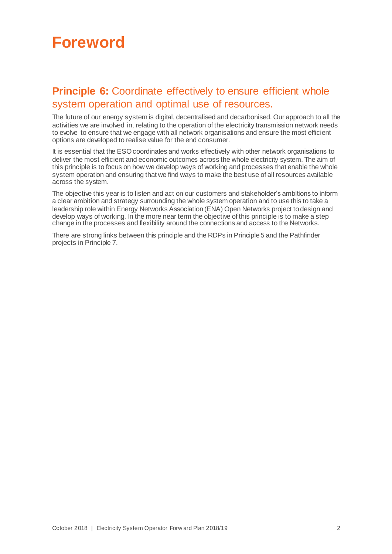### <span id="page-2-0"></span>**Foreword**

### **Principle 6:** Coordinate effectively to ensure efficient whole system operation and optimal use of resources.

The future of our energy system is digital, decentralised and decarbonised. Our approach to all the activities we are involved in, relating to the operation of the electricity transmission network needs to evolve to ensure that we engage with all network organisations and ensure the most efficient options are developed to realise value for the end consumer.

It is essential that the ESO coordinates and works effectively with other network organisations to deliver the most efficient and economic outcomes across the whole electricity system. The aim of this principle is to focus on how we develop ways of working and processes that enable the whole system operation and ensuring that we find ways to make the best use of all resources available across the system.

The objective this year is to listen and act on our customers and stakeholder's ambitions to inform a clear ambition and strategy surrounding the whole system operation and to use this to take a leadership role within Energy Networks Association (ENA) Open Networks project to design and develop ways of working. In the more near term the objective of this principle is to make a step change in the processes and flexibility around the connections and access to the Networks.

There are strong links between this principle and the RDPs in Principle 5 and the Pathfinder projects in Principle 7.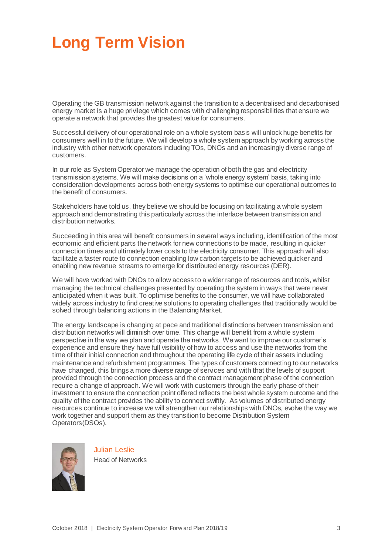## <span id="page-3-0"></span>**Long Term Vision**

Operating the GB transmission network against the transition to a decentralised and decarbonised energy market is a huge privilege which comes with challenging responsibilities that ensure we operate a network that provides the greatest value for consumers.

Successful delivery of our operational role on a whole system basis will unlock huge benefits for consumers well in to the future. We will develop a whole system approach by working across the industry with other network operators including TOs, DNOs and an increasingly diverse range of customers.

In our role as System Operator we manage the operation of both the gas and electricity transmission systems. We will make decisions on a 'whole energy system' basis, taking into consideration developments across both energy systems to optimise our operational outcomes to the benefit of consumers.

Stakeholders have told us, they believe we should be focusing on facilitating a whole system approach and demonstrating this particularly across the interface between transmission and distribution networks.

Succeeding in this area will benefit consumers in several ways including, identification of the most economic and efficient parts the network for new connections to be made, resulting in quicker connection times and ultimately lower costs to the electricity consumer. This approach will also facilitate a faster route to connection enabling low carbon targets to be achieved quicker and enabling new revenue streams to emerge for distributed energy resources (DER).

We will have worked with DNOs to allow access to a wider range of resources and tools, whilst managing the technical challenges presented by operating the system in ways that were never anticipated when it was built. To optimise benefits to the consumer, we will have collaborated widely across industry to find creative solutions to operating challenges that traditionally would be solved through balancing actions in the Balancing Market.

The energy landscape is changing at pace and traditional distinctions between transmission and distribution networks will diminish over time. This change will benefit from a whole system perspective in the way we plan and operate the networks. We want to improve our customer's experience and ensure they have full visibility of how to access and use the networks from the time of their initial connection and throughout the operating life cycle of their assets including maintenance and refurbishment programmes. The types of customers connecting to our networks have changed, this brings a more diverse range of services and with that the levels of support provided through the connection process and the contract management phase of the connection require a change of approach. We will work with customers through the early phase of their investment to ensure the connection point offered reflects the best whole system outcome and the quality of the contract provides the ability to connect swiftly. As volumes of distributed energy resources continue to increase we will strengthen our relationships with DNOs, evolve the way we work together and support them as they transition to become Distribution System Operators(DSOs).



Julian Leslie

Head of Networks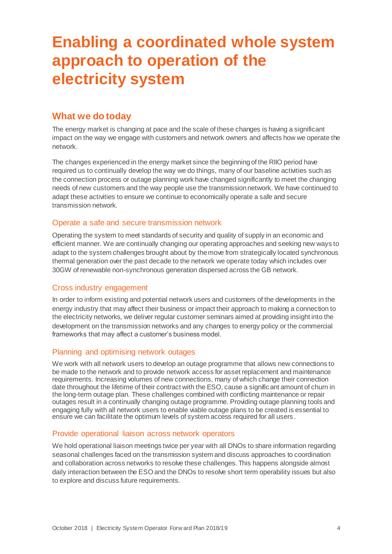### <span id="page-4-0"></span>**Enabling a coordinated whole system approach to operation of the electricity system**

### **What we do today**

The energy market is changing at pace and the scale of these changes is having a significant impact on the way we engage with customers and network owners and affects how we operate the network.

The changes experienced in the energy market since the beginning of the RIIO period have required us to continually develop the way we do things, many of our baseline activities such as the connection process or outage planning work have changed significantly to meet the changing needs of new customers and the way people use the transmission network. We have continued to adapt these activities to ensure we continue to economically operate a safe and secure transmission network.

### Operate a safe and secure transmission network

Operating the system to meet standards of security and quality of supply in an economic and efficient manner. We are continually changing our operating approaches and seeking new ways to adapt to the system challenges brought about by the move from strategically located synchronous thermal generation over the past decade to the network we operate today which includes over 30GW of renewable non-synchronous generation dispersed across the GB network.

### Cross industry engagement

In order to inform existing and potential network users and customers of the developments in the energy industry that may affect their business or impact their approach to making a connection to the electricity networks, we deliver regular customer seminars aimed at providing insight into the development on the transmission networks and any changes to energy policy or the commercial frameworks that may affect a customer's business model.

### Planning and optimising network outages

We work with all network users to develop an outage programme that allows new connections to be made to the network and to provide network access for asset replacement and maintenance requirements. Increasing volumes of new connections, many of which change their connection date throughout the lifetime of their contract with the ESO, cause a significant amount of churn in the long-term outage plan. These challenges combined with conflicting maintenance or repair outages result in a continually changing outage programme. Providing outage planning tools and engaging fully with all network users to enable viable outage plans to be created is essential to ensure we can facilitate the optimum levels of system access required for all users.

#### Provide operational liaison across network operators

We hold operational liaison meetings twice per year with all DNOs to share information regarding seasonal challenges faced on the transmission system and discuss approaches to coordination and collaboration across networks to resolve these challenges. This happens alongside almost daily interaction between the ESO and the DNOs to resolve short term operability issues but also to explore and discuss future requirements.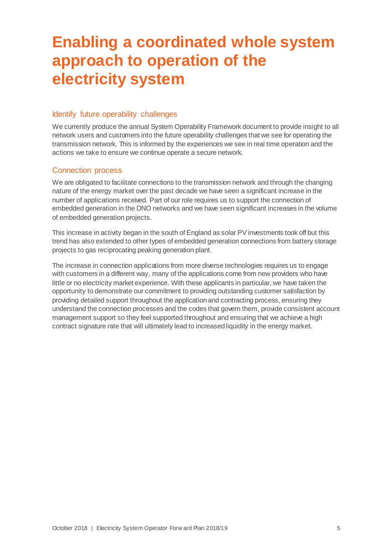### **Enabling a coordinated whole system approach to operation of the electricity system**

#### Identify future operability challenges

We currently produce the annual System Operability Framework document to provide insight to all network users and customers into the future operability challenges that we see for operating the transmission network. This is informed by the experiences we see in real time operation and the actions we take to ensure we continue operate a secure network.

#### Connection process

We are obligated to facilitate connections to the transmission network and through the changing nature of the energy market over the past decade we have seen a significant increase in the number of applications received. Part of our role requires us to support the connection of embedded generation in the DNO networks and we have seen significant increases in the volume of embedded generation projects.

This increase in activity began in the south of England as solar PV investments took off but this trend has also extended to other types of embedded generation connections from battery storage projects to gas reciprocating peaking generation plant.

The increase in connection applications from more diverse technologies requires us to engage with customers in a different way, many of the applications come from new providers who have little or no electricity market experience. With these applicants in particular, we have taken the opportunity to demonstrate our commitment to providing outstanding customer satisfaction by providing detailed support throughout the application and contracting process, ensuring they understand the connection processes and the codes that govern them, provide consistent account management support so they feel supported throughout and ensuring that we achieve a high contract signature rate that will ultimately lead to increased liquidity in the energy market.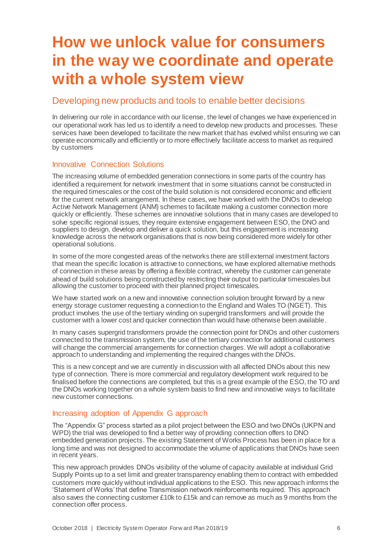### <span id="page-6-0"></span>**How we unlock value for consumers in the way we coordinate and operate with a whole system view**

### Developing new products and tools to enable better decisions

In delivering our role in accordance with our license, the level of changes we have experienced in our operational work has led us to identify a need to develop new products and processes. These services have been developed to facilitate the new market that has evolved whilst ensuring we can operate economically and efficiently or to more effectively facilitate access to market as required by customers

### Innovative Connection Solutions

The increasing volume of embedded generation connections in some parts of the country has identified a requirement for network investment that in some situations cannot be constructed in the required timescales or the cost of the build solution is not considered economic and efficient for the current network arrangement. In these cases, we have worked with the DNOs to develop Active Network Management (ANM) schemes to facilitate making a customer connection more quickly or efficiently. These schemes are innovative solutions that in many cases are developed to solve specific regional issues, they require extensive engagement between ESO, the DNO and suppliers to design, develop and deliver a quick solution, but this engagement is increasing knowledge across the network organisations that is now being considered more widely for other operational solutions.

In some of the more congested areas of the networks there are still external investment factors that mean the specific location is attractive to connections, we have explored alternative methods of connection in these areas by offering a flexible contract, whereby the customer can generate ahead of build solutions being constructed by restricting their output to particular timescales but allowing the customer to proceed with their planned project timescales.

We have started work on a new and innovative connection solution brought forward by a new energy storage customer requesting a connection to the England and Wales TO (NGET). This product involves the use of the tertiary winding on supergrid transformers and will provide the customer with a lower cost and quicker connection than would have otherwise been available.

In many cases supergrid transformers provide the connection point for DNOs and other customers connected to the transmission system, the use of the tertiary connection for additional customers will change the commercial arrangements for connection charges. We will adopt a collaborative approach to understanding and implementing the required changes with the DNOs.

This is a new concept and we are currently in discussion with all affected DNOs about this new type of connection. There is more commercial and regulatory development work required to be finalised before the connections are completed, but this is a great example of the ESO, the TO and the DNOs working together on a whole system basis to find new and innovative ways to facilitate new customer connections.

### Increasing adoption of Appendix G approach

The "Appendix G" process started as a pilot project between the ESO and two DNOs (UKPN and WPD) the trial was developed to find a better way of providing connection offers to DNO embedded generation projects. The existing Statement of Works Process has been in place for a long time and was not designed to accommodate the volume of applications that DNOs have seen in recent years.

This new approach provides DNOs visibility of the volume of capacity available at individual Grid Supply Points up to a set limit and greater transparency enabling them to contract with embedded customers more quickly without individual applications to the ESO. This new approach informs the 'Statement of Works' that define Transmission network reinforcements required. This approach also saves the connecting customer £10k to £15k and can remove as much as 9 months from the connection offer process.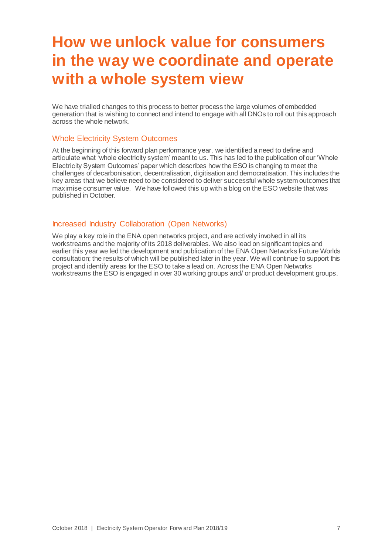### **How we unlock value for consumers in the way we coordinate and operate with a whole system view**

We have trialled changes to this process to better process the large volumes of embedded generation that is wishing to connect and intend to engage with all DNOs to roll out this approach across the whole network.

#### Whole Electricity System Outcomes

At the beginning of this forward plan performance year, we identified a need to define and articulate what 'whole electricity system' meant to us. This has led to the publication of our 'Whole Electricity System Outcomes' paper which describes how the ESO is changing to meet the challenges of decarbonisation, decentralisation, digitisation and democratisation. This includes the key areas that we believe need to be considered to deliver successful whole system outcomes that maximise consumer value. We have followed this up with a blog on the ESO website that was published in October.

#### Increased Industry Collaboration (Open Networks)

We play a key role in the ENA open networks project, and are actively involved in all its workstreams and the majority of its 2018 deliverables. We also lead on significant topics and earlier this year we led the development and publication of the ENA Open Networks Future Worlds consultation; the results of which will be published later in the year. We will continue to support this project and identify areas for the ESO to take a lead on. Across the ENA Open Networks workstreams the ESO is engaged in over 30 working groups and/ or product development groups.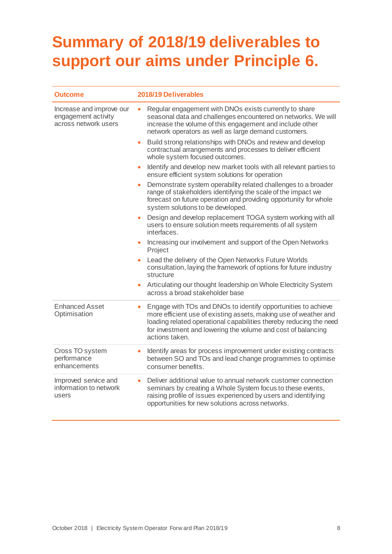# <span id="page-8-0"></span>**Summary of 2018/19 deliverables to support our aims under Principle 6.**

| <b>Outcome</b>                                                          | 2018/19 Deliverables                                                                                                                                                                                                                                                                                   |
|-------------------------------------------------------------------------|--------------------------------------------------------------------------------------------------------------------------------------------------------------------------------------------------------------------------------------------------------------------------------------------------------|
| Increase and improve our<br>engagement activity<br>across network users | Regular engagement with DNOs exists currently to share<br>$\bullet$<br>seasonal data and challenges encountered on networks. We will<br>increase the volume of this engagement and include other<br>network operators as well as large demand customers.                                               |
|                                                                         | Build strong relationships with DNOs and review and develop<br>$\bullet$<br>contractual arrangements and processes to deliver efficient<br>whole system focused outcomes.                                                                                                                              |
|                                                                         | Identify and develop new market tools with all relevant parties to<br>$\bullet$<br>ensure efficient system solutions for operation                                                                                                                                                                     |
|                                                                         | Demonstrate system operability related challenges to a broader<br>$\bullet$<br>range of stakeholders identifying the scale of the impact we<br>forecast on future operation and providing opportunity for whole<br>system solutions to be developed.                                                   |
|                                                                         | Design and develop replacement TOGA system working with all<br>users to ensure solution meets requirements of all system<br>interfaces.                                                                                                                                                                |
|                                                                         | Increasing our involvement and support of the Open Networks<br>$\bullet$<br>Project                                                                                                                                                                                                                    |
|                                                                         | Lead the delivery of the Open Networks Future Worlds<br>$\bullet$<br>consultation, laying the framework of options for future industry<br>structure                                                                                                                                                    |
|                                                                         | Articulating our thought leadership on Whole Electricity System<br>$\bullet$<br>across a broad stakeholder base                                                                                                                                                                                        |
| <b>Enhanced Asset</b><br>Optimisation                                   | Engage with TOs and DNOs to identify opportunities to achieve<br>$\bullet$<br>more efficient use of existing assets, making use of weather and<br>loading related operational capabilities thereby reducing the need<br>for investment and lowering the volume and cost of balancing<br>actions taken. |
| Cross TO system<br>performance<br>enhancements                          | Identify areas for process improvement under existing contracts<br>۰<br>between SO and TOs and lead change programmes to optimise<br>consumer benefits.                                                                                                                                                |
| Improved service and<br>information to network<br>users                 | Deliver additional value to annual network customer connection<br>$\bullet$<br>seminars by creating a Whole System focus to these events,<br>raising profile of issues experienced by users and identifying<br>opportunities for new solutions across networks.                                        |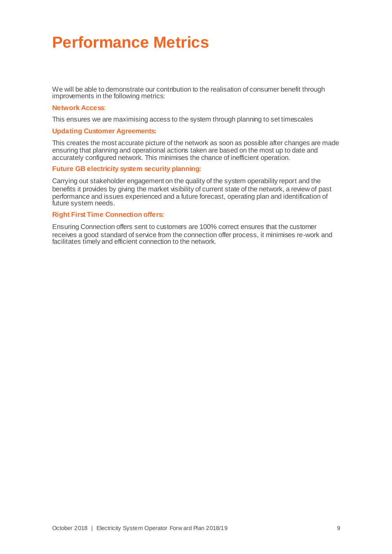### <span id="page-9-0"></span>**Performance Metrics**

We will be able to demonstrate our contribution to the realisation of consumer benefit through improvements in the following metrics:

#### **Network Access**:

This ensures we are maximising access to the system through planning to set timescales

#### **Updating Customer Agreements:**

This creates the most accurate picture of the network as soon as possible after changes are made ensuring that planning and operational actions taken are based on the most up to date and accurately configured network. This minimises the chance of inefficient operation.

#### **Future GB electricity system security planning:**

Carrying out stakeholder engagement on the quality of the system operability report and the benefits it provides by giving the market visibility of current state of the network, a review of past performance and issues experienced and a future forecast, operating plan and identification of future system needs.

#### **Right First Time Connection offers:**

Ensuring Connection offers sent to customers are 100% correct ensures that the customer receives a good standard of service from the connection offer process, it minimises re-work and facilitates timely and efficient connection to the network.